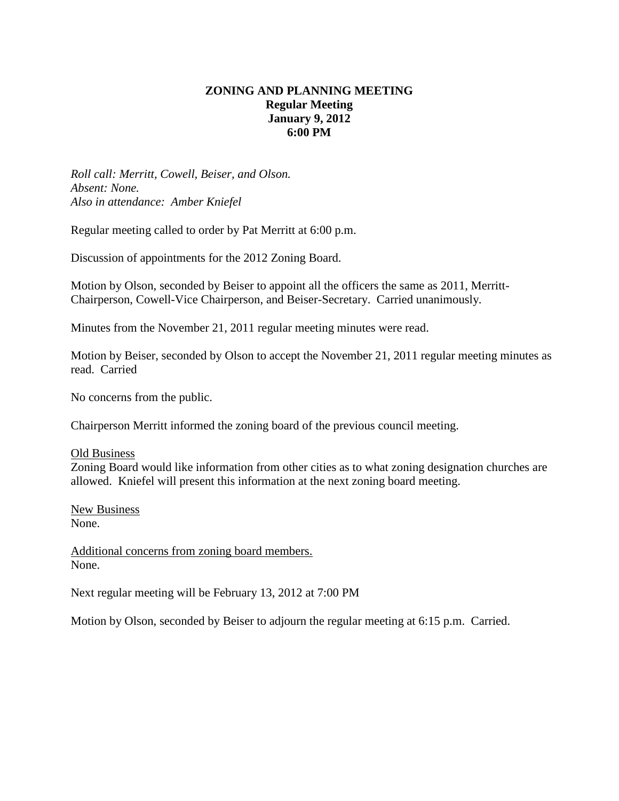# **ZONING AND PLANNING MEETING Regular Meeting January 9, 2012 6:00 PM**

*Roll call: Merritt, Cowell, Beiser, and Olson. Absent: None. Also in attendance: Amber Kniefel*

Regular meeting called to order by Pat Merritt at 6:00 p.m.

Discussion of appointments for the 2012 Zoning Board.

Motion by Olson, seconded by Beiser to appoint all the officers the same as 2011, Merritt-Chairperson, Cowell-Vice Chairperson, and Beiser-Secretary. Carried unanimously.

Minutes from the November 21, 2011 regular meeting minutes were read.

Motion by Beiser, seconded by Olson to accept the November 21, 2011 regular meeting minutes as read. Carried

No concerns from the public.

Chairperson Merritt informed the zoning board of the previous council meeting.

Old Business

Zoning Board would like information from other cities as to what zoning designation churches are allowed. Kniefel will present this information at the next zoning board meeting.

New Business None.

Additional concerns from zoning board members. None.

Next regular meeting will be February 13, 2012 at 7:00 PM

Motion by Olson, seconded by Beiser to adjourn the regular meeting at 6:15 p.m. Carried.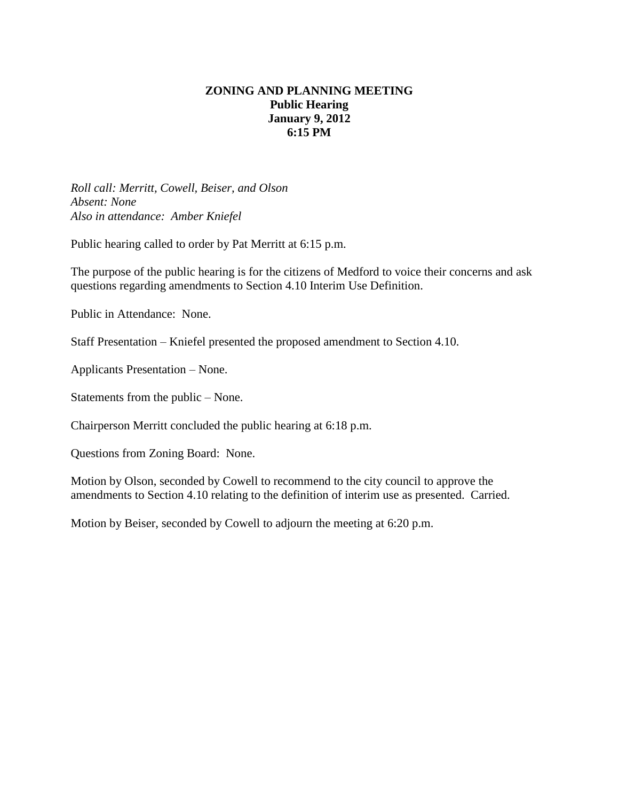# **ZONING AND PLANNING MEETING Public Hearing January 9, 2012 6:15 PM**

*Roll call: Merritt, Cowell, Beiser, and Olson Absent: None Also in attendance: Amber Kniefel*

Public hearing called to order by Pat Merritt at 6:15 p.m.

The purpose of the public hearing is for the citizens of Medford to voice their concerns and ask questions regarding amendments to Section 4.10 Interim Use Definition.

Public in Attendance: None.

Staff Presentation – Kniefel presented the proposed amendment to Section 4.10.

Applicants Presentation – None.

Statements from the public – None.

Chairperson Merritt concluded the public hearing at 6:18 p.m.

Questions from Zoning Board: None.

Motion by Olson, seconded by Cowell to recommend to the city council to approve the amendments to Section 4.10 relating to the definition of interim use as presented. Carried.

Motion by Beiser, seconded by Cowell to adjourn the meeting at 6:20 p.m.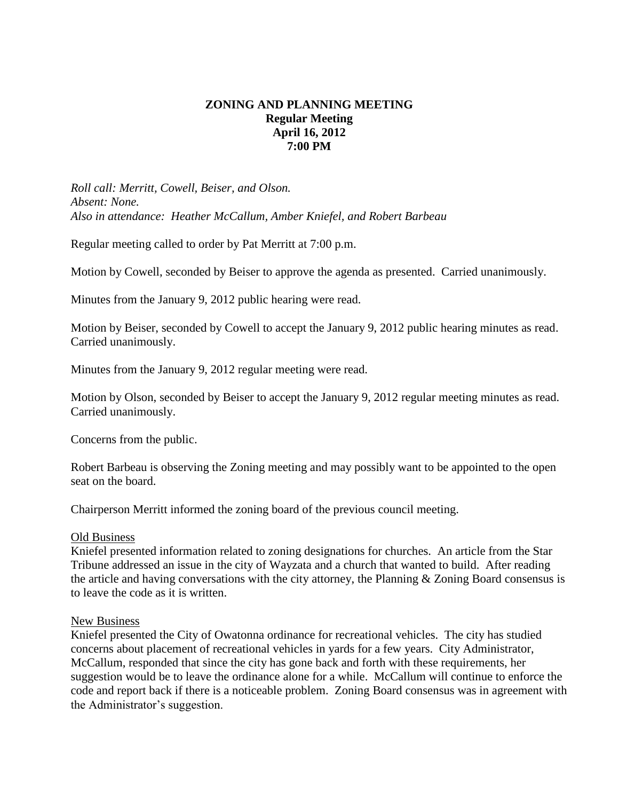# **ZONING AND PLANNING MEETING Regular Meeting April 16, 2012 7:00 PM**

*Roll call: Merritt, Cowell, Beiser, and Olson. Absent: None. Also in attendance: Heather McCallum, Amber Kniefel, and Robert Barbeau*

Regular meeting called to order by Pat Merritt at 7:00 p.m.

Motion by Cowell, seconded by Beiser to approve the agenda as presented. Carried unanimously.

Minutes from the January 9, 2012 public hearing were read.

Motion by Beiser, seconded by Cowell to accept the January 9, 2012 public hearing minutes as read. Carried unanimously.

Minutes from the January 9, 2012 regular meeting were read.

Motion by Olson, seconded by Beiser to accept the January 9, 2012 regular meeting minutes as read. Carried unanimously.

Concerns from the public.

Robert Barbeau is observing the Zoning meeting and may possibly want to be appointed to the open seat on the board.

Chairperson Merritt informed the zoning board of the previous council meeting.

#### Old Business

Kniefel presented information related to zoning designations for churches. An article from the Star Tribune addressed an issue in the city of Wayzata and a church that wanted to build. After reading the article and having conversations with the city attorney, the Planning & Zoning Board consensus is to leave the code as it is written.

#### New Business

Kniefel presented the City of Owatonna ordinance for recreational vehicles. The city has studied concerns about placement of recreational vehicles in yards for a few years. City Administrator, McCallum, responded that since the city has gone back and forth with these requirements, her suggestion would be to leave the ordinance alone for a while. McCallum will continue to enforce the code and report back if there is a noticeable problem. Zoning Board consensus was in agreement with the Administrator's suggestion.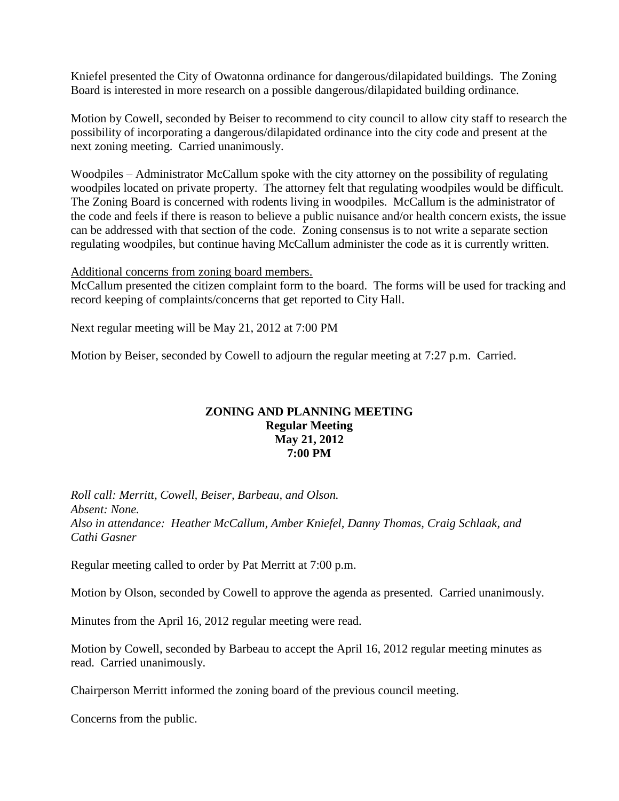Kniefel presented the City of Owatonna ordinance for dangerous/dilapidated buildings. The Zoning Board is interested in more research on a possible dangerous/dilapidated building ordinance.

Motion by Cowell, seconded by Beiser to recommend to city council to allow city staff to research the possibility of incorporating a dangerous/dilapidated ordinance into the city code and present at the next zoning meeting. Carried unanimously.

Woodpiles – Administrator McCallum spoke with the city attorney on the possibility of regulating woodpiles located on private property. The attorney felt that regulating woodpiles would be difficult. The Zoning Board is concerned with rodents living in woodpiles. McCallum is the administrator of the code and feels if there is reason to believe a public nuisance and/or health concern exists, the issue can be addressed with that section of the code. Zoning consensus is to not write a separate section regulating woodpiles, but continue having McCallum administer the code as it is currently written.

#### Additional concerns from zoning board members.

McCallum presented the citizen complaint form to the board. The forms will be used for tracking and record keeping of complaints/concerns that get reported to City Hall.

Next regular meeting will be May 21, 2012 at 7:00 PM

Motion by Beiser, seconded by Cowell to adjourn the regular meeting at 7:27 p.m. Carried.

#### **ZONING AND PLANNING MEETING Regular Meeting May 21, 2012 7:00 PM**

*Roll call: Merritt, Cowell, Beiser, Barbeau, and Olson. Absent: None. Also in attendance: Heather McCallum, Amber Kniefel, Danny Thomas, Craig Schlaak, and Cathi Gasner*

Regular meeting called to order by Pat Merritt at 7:00 p.m.

Motion by Olson, seconded by Cowell to approve the agenda as presented. Carried unanimously.

Minutes from the April 16, 2012 regular meeting were read.

Motion by Cowell, seconded by Barbeau to accept the April 16, 2012 regular meeting minutes as read. Carried unanimously.

Chairperson Merritt informed the zoning board of the previous council meeting.

Concerns from the public.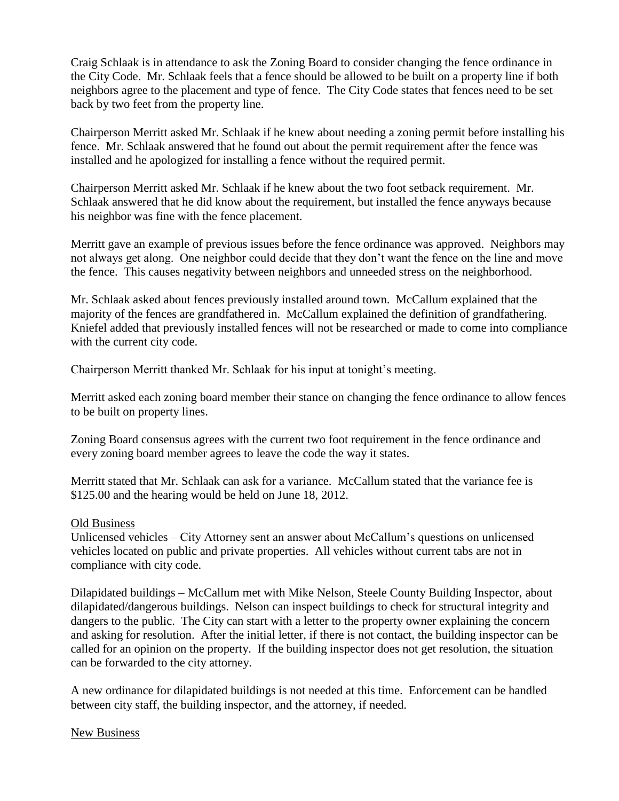Craig Schlaak is in attendance to ask the Zoning Board to consider changing the fence ordinance in the City Code. Mr. Schlaak feels that a fence should be allowed to be built on a property line if both neighbors agree to the placement and type of fence. The City Code states that fences need to be set back by two feet from the property line.

Chairperson Merritt asked Mr. Schlaak if he knew about needing a zoning permit before installing his fence. Mr. Schlaak answered that he found out about the permit requirement after the fence was installed and he apologized for installing a fence without the required permit.

Chairperson Merritt asked Mr. Schlaak if he knew about the two foot setback requirement. Mr. Schlaak answered that he did know about the requirement, but installed the fence anyways because his neighbor was fine with the fence placement.

Merritt gave an example of previous issues before the fence ordinance was approved. Neighbors may not always get along. One neighbor could decide that they don't want the fence on the line and move the fence. This causes negativity between neighbors and unneeded stress on the neighborhood.

Mr. Schlaak asked about fences previously installed around town. McCallum explained that the majority of the fences are grandfathered in. McCallum explained the definition of grandfathering. Kniefel added that previously installed fences will not be researched or made to come into compliance with the current city code.

Chairperson Merritt thanked Mr. Schlaak for his input at tonight's meeting.

Merritt asked each zoning board member their stance on changing the fence ordinance to allow fences to be built on property lines.

Zoning Board consensus agrees with the current two foot requirement in the fence ordinance and every zoning board member agrees to leave the code the way it states.

Merritt stated that Mr. Schlaak can ask for a variance. McCallum stated that the variance fee is \$125.00 and the hearing would be held on June 18, 2012.

## Old Business

Unlicensed vehicles – City Attorney sent an answer about McCallum's questions on unlicensed vehicles located on public and private properties. All vehicles without current tabs are not in compliance with city code.

Dilapidated buildings – McCallum met with Mike Nelson, Steele County Building Inspector, about dilapidated/dangerous buildings. Nelson can inspect buildings to check for structural integrity and dangers to the public. The City can start with a letter to the property owner explaining the concern and asking for resolution. After the initial letter, if there is not contact, the building inspector can be called for an opinion on the property. If the building inspector does not get resolution, the situation can be forwarded to the city attorney.

A new ordinance for dilapidated buildings is not needed at this time. Enforcement can be handled between city staff, the building inspector, and the attorney, if needed.

## New Business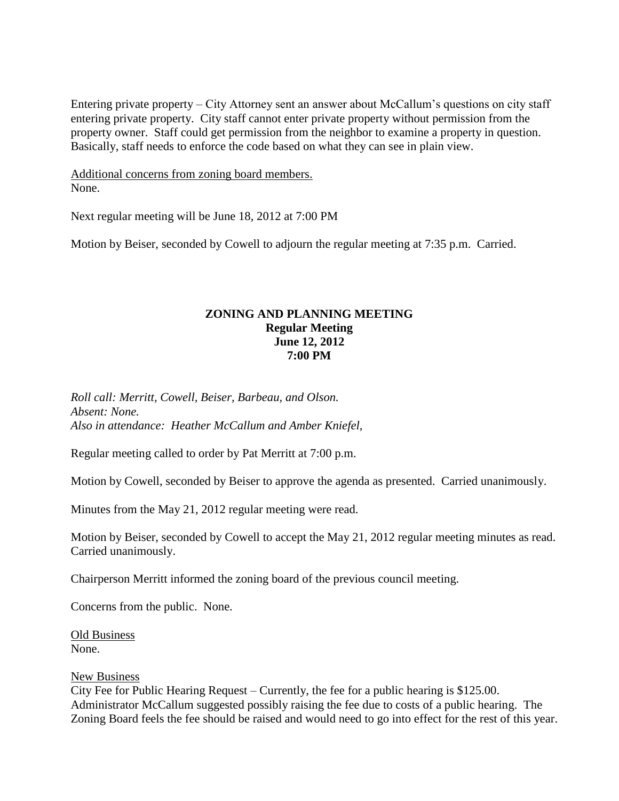Entering private property – City Attorney sent an answer about McCallum's questions on city staff entering private property. City staff cannot enter private property without permission from the property owner. Staff could get permission from the neighbor to examine a property in question. Basically, staff needs to enforce the code based on what they can see in plain view.

Additional concerns from zoning board members. None.

Next regular meeting will be June 18, 2012 at 7:00 PM

Motion by Beiser, seconded by Cowell to adjourn the regular meeting at 7:35 p.m. Carried.

# **ZONING AND PLANNING MEETING Regular Meeting June 12, 2012 7:00 PM**

*Roll call: Merritt, Cowell, Beiser, Barbeau, and Olson. Absent: None. Also in attendance: Heather McCallum and Amber Kniefel,* 

Regular meeting called to order by Pat Merritt at 7:00 p.m.

Motion by Cowell, seconded by Beiser to approve the agenda as presented. Carried unanimously.

Minutes from the May 21, 2012 regular meeting were read.

Motion by Beiser, seconded by Cowell to accept the May 21, 2012 regular meeting minutes as read. Carried unanimously.

Chairperson Merritt informed the zoning board of the previous council meeting.

Concerns from the public. None.

Old Business None.

#### New Business

City Fee for Public Hearing Request – Currently, the fee for a public hearing is \$125.00. Administrator McCallum suggested possibly raising the fee due to costs of a public hearing. The Zoning Board feels the fee should be raised and would need to go into effect for the rest of this year.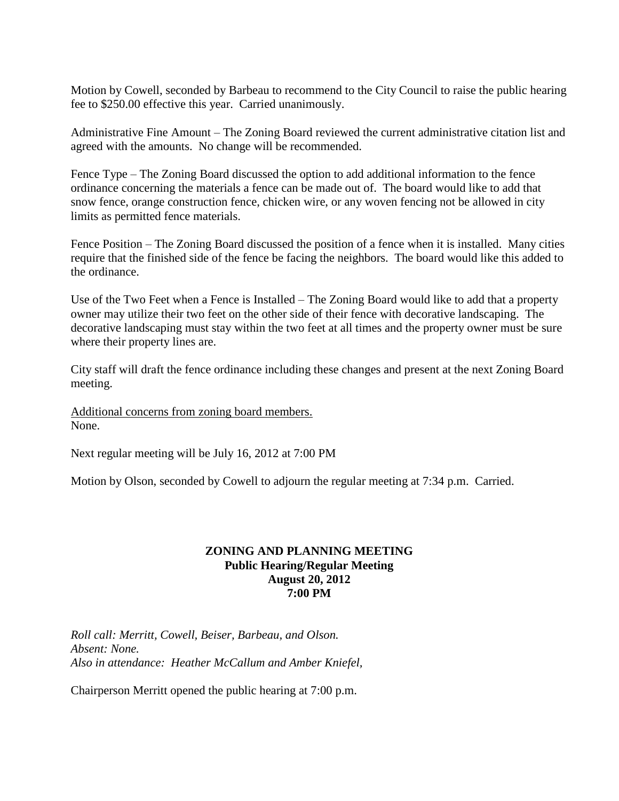Motion by Cowell, seconded by Barbeau to recommend to the City Council to raise the public hearing fee to \$250.00 effective this year. Carried unanimously.

Administrative Fine Amount – The Zoning Board reviewed the current administrative citation list and agreed with the amounts. No change will be recommended.

Fence Type – The Zoning Board discussed the option to add additional information to the fence ordinance concerning the materials a fence can be made out of. The board would like to add that snow fence, orange construction fence, chicken wire, or any woven fencing not be allowed in city limits as permitted fence materials.

Fence Position – The Zoning Board discussed the position of a fence when it is installed. Many cities require that the finished side of the fence be facing the neighbors. The board would like this added to the ordinance.

Use of the Two Feet when a Fence is Installed – The Zoning Board would like to add that a property owner may utilize their two feet on the other side of their fence with decorative landscaping. The decorative landscaping must stay within the two feet at all times and the property owner must be sure where their property lines are.

City staff will draft the fence ordinance including these changes and present at the next Zoning Board meeting.

Additional concerns from zoning board members. None.

Next regular meeting will be July 16, 2012 at 7:00 PM

Motion by Olson, seconded by Cowell to adjourn the regular meeting at 7:34 p.m. Carried.

## **ZONING AND PLANNING MEETING Public Hearing/Regular Meeting August 20, 2012 7:00 PM**

*Roll call: Merritt, Cowell, Beiser, Barbeau, and Olson. Absent: None. Also in attendance: Heather McCallum and Amber Kniefel,* 

Chairperson Merritt opened the public hearing at 7:00 p.m.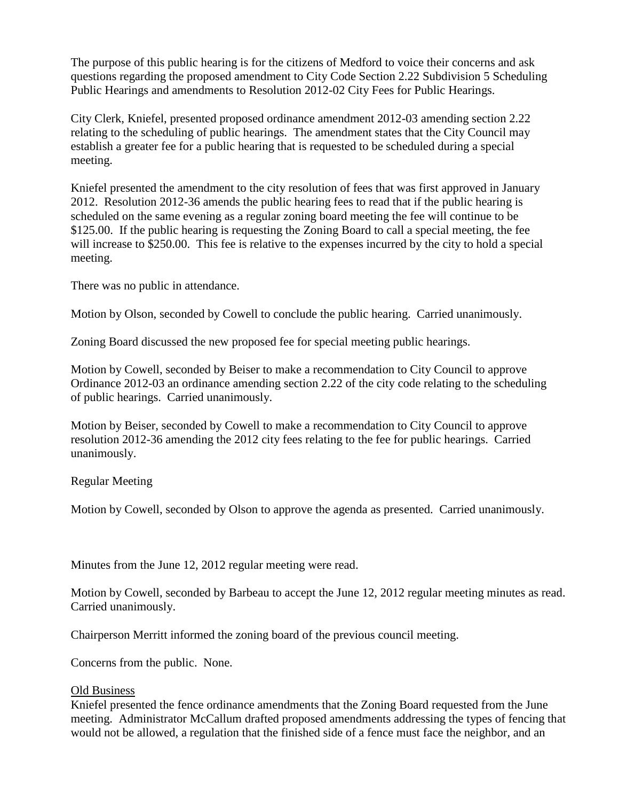The purpose of this public hearing is for the citizens of Medford to voice their concerns and ask questions regarding the proposed amendment to City Code Section 2.22 Subdivision 5 Scheduling Public Hearings and amendments to Resolution 2012-02 City Fees for Public Hearings.

City Clerk, Kniefel, presented proposed ordinance amendment 2012-03 amending section 2.22 relating to the scheduling of public hearings. The amendment states that the City Council may establish a greater fee for a public hearing that is requested to be scheduled during a special meeting.

Kniefel presented the amendment to the city resolution of fees that was first approved in January 2012. Resolution 2012-36 amends the public hearing fees to read that if the public hearing is scheduled on the same evening as a regular zoning board meeting the fee will continue to be \$125.00. If the public hearing is requesting the Zoning Board to call a special meeting, the fee will increase to \$250.00. This fee is relative to the expenses incurred by the city to hold a special meeting.

There was no public in attendance.

Motion by Olson, seconded by Cowell to conclude the public hearing. Carried unanimously.

Zoning Board discussed the new proposed fee for special meeting public hearings.

Motion by Cowell, seconded by Beiser to make a recommendation to City Council to approve Ordinance 2012-03 an ordinance amending section 2.22 of the city code relating to the scheduling of public hearings. Carried unanimously.

Motion by Beiser, seconded by Cowell to make a recommendation to City Council to approve resolution 2012-36 amending the 2012 city fees relating to the fee for public hearings. Carried unanimously.

Regular Meeting

Motion by Cowell, seconded by Olson to approve the agenda as presented. Carried unanimously.

Minutes from the June 12, 2012 regular meeting were read.

Motion by Cowell, seconded by Barbeau to accept the June 12, 2012 regular meeting minutes as read. Carried unanimously.

Chairperson Merritt informed the zoning board of the previous council meeting.

Concerns from the public. None.

## Old Business

Kniefel presented the fence ordinance amendments that the Zoning Board requested from the June meeting. Administrator McCallum drafted proposed amendments addressing the types of fencing that would not be allowed, a regulation that the finished side of a fence must face the neighbor, and an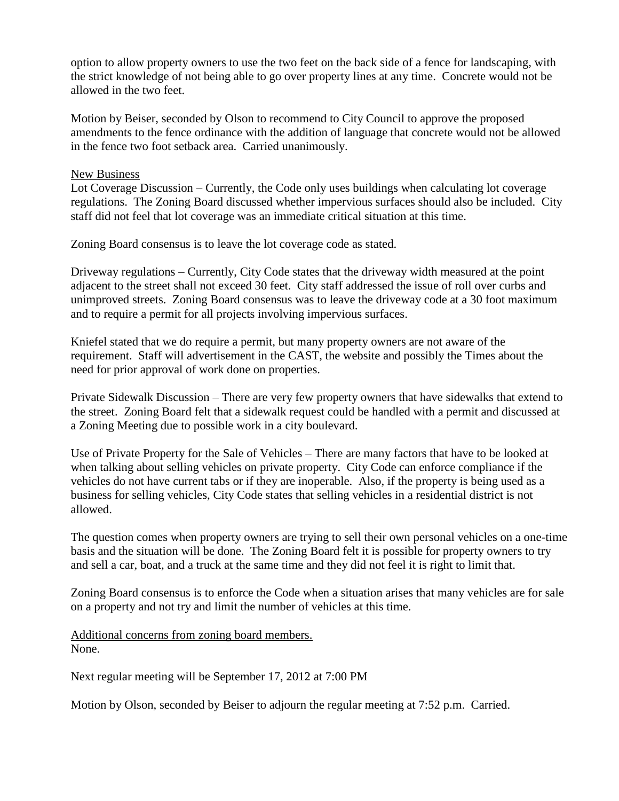option to allow property owners to use the two feet on the back side of a fence for landscaping, with the strict knowledge of not being able to go over property lines at any time. Concrete would not be allowed in the two feet.

Motion by Beiser, seconded by Olson to recommend to City Council to approve the proposed amendments to the fence ordinance with the addition of language that concrete would not be allowed in the fence two foot setback area. Carried unanimously.

#### New Business

Lot Coverage Discussion – Currently, the Code only uses buildings when calculating lot coverage regulations. The Zoning Board discussed whether impervious surfaces should also be included. City staff did not feel that lot coverage was an immediate critical situation at this time.

Zoning Board consensus is to leave the lot coverage code as stated.

Driveway regulations – Currently, City Code states that the driveway width measured at the point adjacent to the street shall not exceed 30 feet. City staff addressed the issue of roll over curbs and unimproved streets. Zoning Board consensus was to leave the driveway code at a 30 foot maximum and to require a permit for all projects involving impervious surfaces.

Kniefel stated that we do require a permit, but many property owners are not aware of the requirement. Staff will advertisement in the CAST, the website and possibly the Times about the need for prior approval of work done on properties.

Private Sidewalk Discussion – There are very few property owners that have sidewalks that extend to the street. Zoning Board felt that a sidewalk request could be handled with a permit and discussed at a Zoning Meeting due to possible work in a city boulevard.

Use of Private Property for the Sale of Vehicles – There are many factors that have to be looked at when talking about selling vehicles on private property. City Code can enforce compliance if the vehicles do not have current tabs or if they are inoperable. Also, if the property is being used as a business for selling vehicles, City Code states that selling vehicles in a residential district is not allowed.

The question comes when property owners are trying to sell their own personal vehicles on a one-time basis and the situation will be done. The Zoning Board felt it is possible for property owners to try and sell a car, boat, and a truck at the same time and they did not feel it is right to limit that.

Zoning Board consensus is to enforce the Code when a situation arises that many vehicles are for sale on a property and not try and limit the number of vehicles at this time.

Additional concerns from zoning board members. None.

Next regular meeting will be September 17, 2012 at 7:00 PM

Motion by Olson, seconded by Beiser to adjourn the regular meeting at 7:52 p.m. Carried.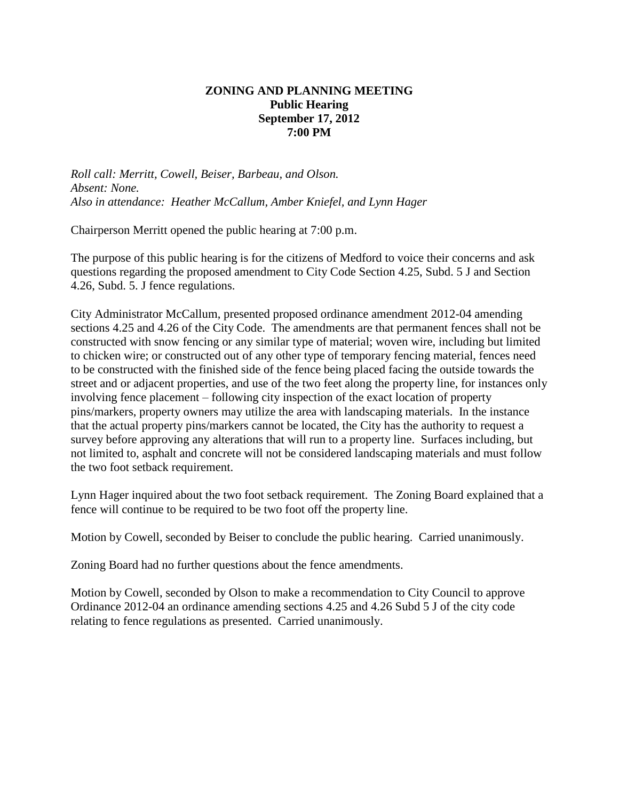# **ZONING AND PLANNING MEETING Public Hearing September 17, 2012 7:00 PM**

*Roll call: Merritt, Cowell, Beiser, Barbeau, and Olson. Absent: None. Also in attendance: Heather McCallum, Amber Kniefel, and Lynn Hager*

Chairperson Merritt opened the public hearing at 7:00 p.m.

The purpose of this public hearing is for the citizens of Medford to voice their concerns and ask questions regarding the proposed amendment to City Code Section 4.25, Subd. 5 J and Section 4.26, Subd. 5. J fence regulations.

City Administrator McCallum, presented proposed ordinance amendment 2012-04 amending sections 4.25 and 4.26 of the City Code. The amendments are that permanent fences shall not be constructed with snow fencing or any similar type of material; woven wire, including but limited to chicken wire; or constructed out of any other type of temporary fencing material, fences need to be constructed with the finished side of the fence being placed facing the outside towards the street and or adjacent properties, and use of the two feet along the property line, for instances only involving fence placement – following city inspection of the exact location of property pins/markers, property owners may utilize the area with landscaping materials. In the instance that the actual property pins/markers cannot be located, the City has the authority to request a survey before approving any alterations that will run to a property line. Surfaces including, but not limited to, asphalt and concrete will not be considered landscaping materials and must follow the two foot setback requirement.

Lynn Hager inquired about the two foot setback requirement. The Zoning Board explained that a fence will continue to be required to be two foot off the property line.

Motion by Cowell, seconded by Beiser to conclude the public hearing. Carried unanimously.

Zoning Board had no further questions about the fence amendments.

Motion by Cowell, seconded by Olson to make a recommendation to City Council to approve Ordinance 2012-04 an ordinance amending sections 4.25 and 4.26 Subd 5 J of the city code relating to fence regulations as presented. Carried unanimously.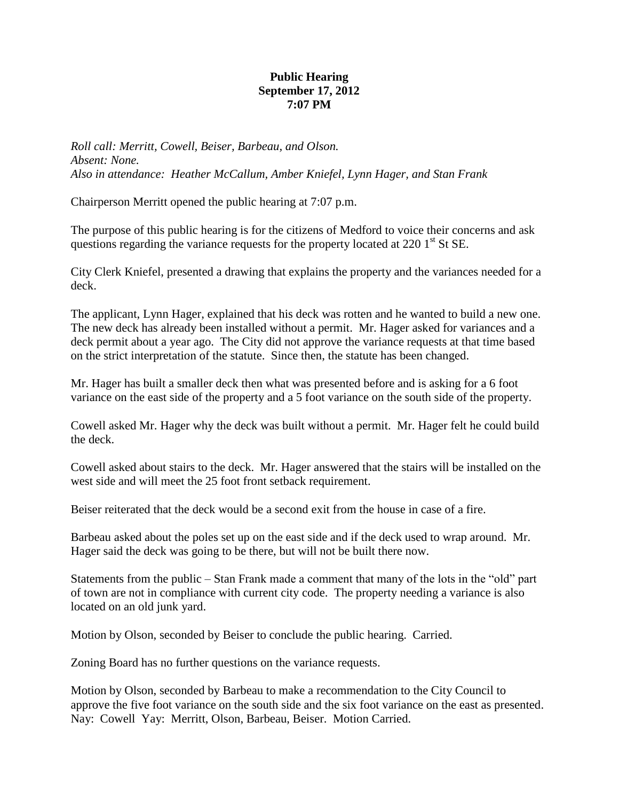# **Public Hearing September 17, 2012 7:07 PM**

*Roll call: Merritt, Cowell, Beiser, Barbeau, and Olson. Absent: None. Also in attendance: Heather McCallum, Amber Kniefel, Lynn Hager, and Stan Frank*

Chairperson Merritt opened the public hearing at 7:07 p.m.

The purpose of this public hearing is for the citizens of Medford to voice their concerns and ask questions regarding the variance requests for the property located at  $220 \, 1^{\text{st}}$  St SE.

City Clerk Kniefel, presented a drawing that explains the property and the variances needed for a deck.

The applicant, Lynn Hager, explained that his deck was rotten and he wanted to build a new one. The new deck has already been installed without a permit. Mr. Hager asked for variances and a deck permit about a year ago. The City did not approve the variance requests at that time based on the strict interpretation of the statute. Since then, the statute has been changed.

Mr. Hager has built a smaller deck then what was presented before and is asking for a 6 foot variance on the east side of the property and a 5 foot variance on the south side of the property.

Cowell asked Mr. Hager why the deck was built without a permit. Mr. Hager felt he could build the deck.

Cowell asked about stairs to the deck. Mr. Hager answered that the stairs will be installed on the west side and will meet the 25 foot front setback requirement.

Beiser reiterated that the deck would be a second exit from the house in case of a fire.

Barbeau asked about the poles set up on the east side and if the deck used to wrap around. Mr. Hager said the deck was going to be there, but will not be built there now.

Statements from the public – Stan Frank made a comment that many of the lots in the "old" part of town are not in compliance with current city code. The property needing a variance is also located on an old junk yard.

Motion by Olson, seconded by Beiser to conclude the public hearing. Carried.

Zoning Board has no further questions on the variance requests.

Motion by Olson, seconded by Barbeau to make a recommendation to the City Council to approve the five foot variance on the south side and the six foot variance on the east as presented. Nay: Cowell Yay: Merritt, Olson, Barbeau, Beiser. Motion Carried.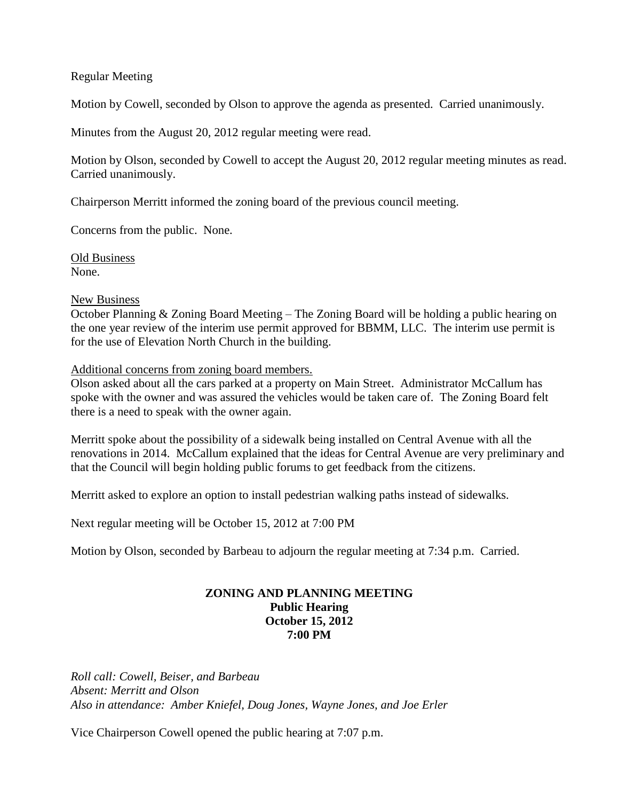### Regular Meeting

Motion by Cowell, seconded by Olson to approve the agenda as presented. Carried unanimously.

Minutes from the August 20, 2012 regular meeting were read.

Motion by Olson, seconded by Cowell to accept the August 20, 2012 regular meeting minutes as read. Carried unanimously.

Chairperson Merritt informed the zoning board of the previous council meeting.

Concerns from the public. None.

Old Business None.

#### New Business

October Planning & Zoning Board Meeting – The Zoning Board will be holding a public hearing on the one year review of the interim use permit approved for BBMM, LLC. The interim use permit is for the use of Elevation North Church in the building.

Additional concerns from zoning board members.

Olson asked about all the cars parked at a property on Main Street. Administrator McCallum has spoke with the owner and was assured the vehicles would be taken care of. The Zoning Board felt there is a need to speak with the owner again.

Merritt spoke about the possibility of a sidewalk being installed on Central Avenue with all the renovations in 2014. McCallum explained that the ideas for Central Avenue are very preliminary and that the Council will begin holding public forums to get feedback from the citizens.

Merritt asked to explore an option to install pedestrian walking paths instead of sidewalks.

Next regular meeting will be October 15, 2012 at 7:00 PM

Motion by Olson, seconded by Barbeau to adjourn the regular meeting at 7:34 p.m. Carried.

### **ZONING AND PLANNING MEETING Public Hearing October 15, 2012 7:00 PM**

*Roll call: Cowell, Beiser, and Barbeau Absent: Merritt and Olson Also in attendance: Amber Kniefel, Doug Jones, Wayne Jones, and Joe Erler*

Vice Chairperson Cowell opened the public hearing at 7:07 p.m.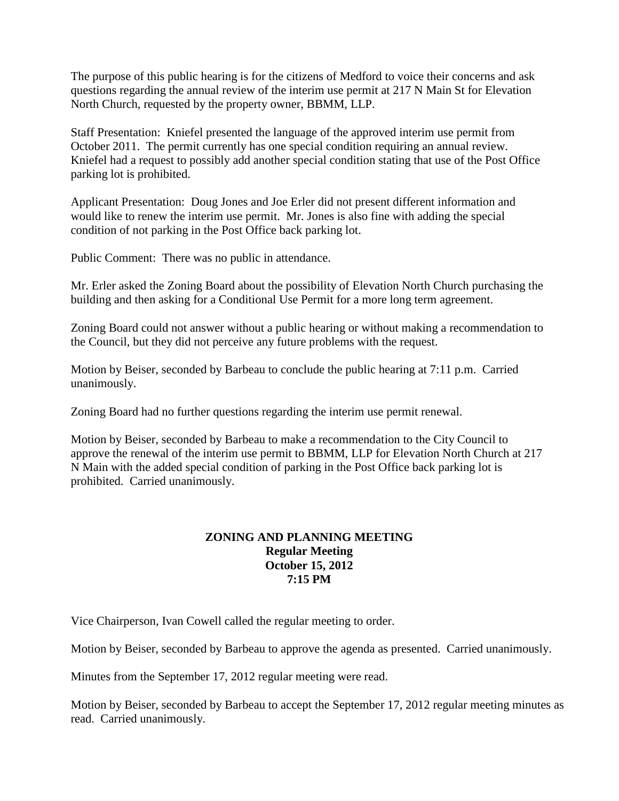The purpose of this public hearing is for the citizens of Medford to voice their concerns and ask questions regarding the annual review of the interim use permit at 217 N Main St for Elevation North Church, requested by the property owner, BBMM, LLP.

Staff Presentation: Kniefel presented the language of the approved interim use permit from October 2011. The permit currently has one special condition requiring an annual review. Kniefel had a request to possibly add another special condition stating that use of the Post Office parking lot is prohibited.

Applicant Presentation: Doug Jones and Joe Erler did not present different information and would like to renew the interim use permit. Mr. Jones is also fine with adding the special condition of not parking in the Post Office back parking lot.

Public Comment: There was no public in attendance.

Mr. Erler asked the Zoning Board about the possibility of Elevation North Church purchasing the building and then asking for a Conditional Use Permit for a more long term agreement.

Zoning Board could not answer without a public hearing or without making a recommendation to the Council, but they did not perceive any future problems with the request.

Motion by Beiser, seconded by Barbeau to conclude the public hearing at 7:11 p.m. Carried unanimously.

Zoning Board had no further questions regarding the interim use permit renewal.

Motion by Beiser, seconded by Barbeau to make a recommendation to the City Council to approve the renewal of the interim use permit to BBMM, LLP for Elevation North Church at 217 N Main with the added special condition of parking in the Post Office back parking lot is prohibited. Carried unanimously.

# **ZONING AND PLANNING MEETING Regular Meeting October 15, 2012 7:15 PM**

Vice Chairperson, Ivan Cowell called the regular meeting to order.

Motion by Beiser, seconded by Barbeau to approve the agenda as presented. Carried unanimously.

Minutes from the September 17, 2012 regular meeting were read.

Motion by Beiser, seconded by Barbeau to accept the September 17, 2012 regular meeting minutes as read. Carried unanimously.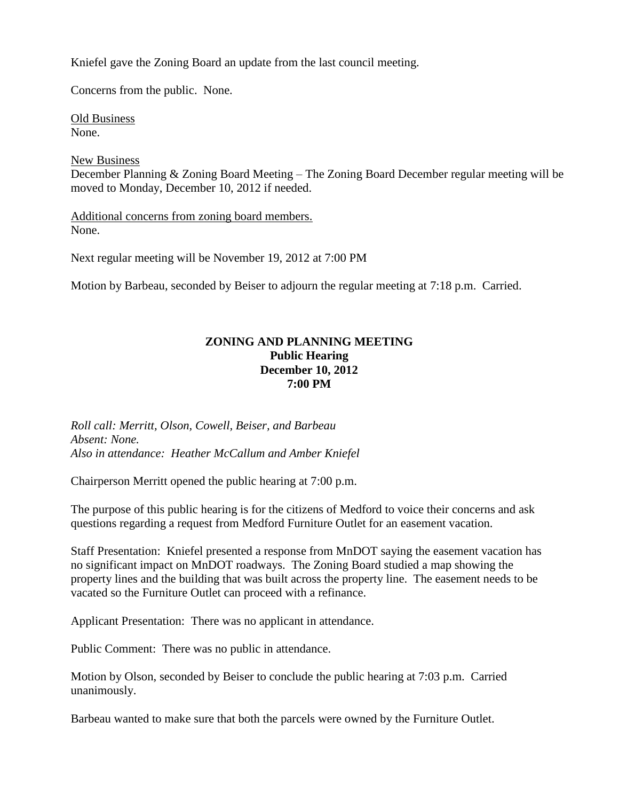Kniefel gave the Zoning Board an update from the last council meeting.

Concerns from the public. None.

Old Business None.

New Business December Planning & Zoning Board Meeting – The Zoning Board December regular meeting will be moved to Monday, December 10, 2012 if needed.

Additional concerns from zoning board members. None.

Next regular meeting will be November 19, 2012 at 7:00 PM

Motion by Barbeau, seconded by Beiser to adjourn the regular meeting at 7:18 p.m. Carried.

# **ZONING AND PLANNING MEETING Public Hearing December 10, 2012 7:00 PM**

*Roll call: Merritt, Olson, Cowell, Beiser, and Barbeau Absent: None. Also in attendance: Heather McCallum and Amber Kniefel*

Chairperson Merritt opened the public hearing at 7:00 p.m.

The purpose of this public hearing is for the citizens of Medford to voice their concerns and ask questions regarding a request from Medford Furniture Outlet for an easement vacation.

Staff Presentation: Kniefel presented a response from MnDOT saying the easement vacation has no significant impact on MnDOT roadways. The Zoning Board studied a map showing the property lines and the building that was built across the property line. The easement needs to be vacated so the Furniture Outlet can proceed with a refinance.

Applicant Presentation: There was no applicant in attendance.

Public Comment: There was no public in attendance.

Motion by Olson, seconded by Beiser to conclude the public hearing at 7:03 p.m. Carried unanimously.

Barbeau wanted to make sure that both the parcels were owned by the Furniture Outlet.